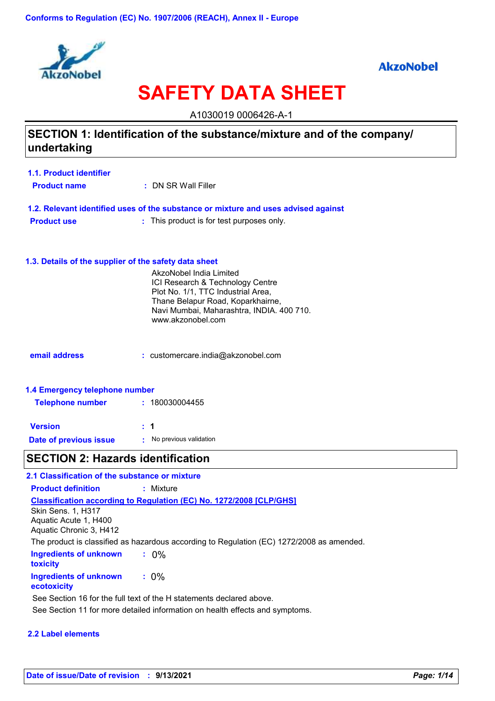

### **AkzoNobel**

# **SAFETY DATA SHEET**

A1030019 0006426-A-1

### **SECTION 1: Identification of the substance/mixture and of the company/ undertaking**

| 1.1. Product identifier |                     |
|-------------------------|---------------------|
| <b>Product name</b>     | : DN SR Wall Filler |

|                    | 1.2. Relevant identified uses of the substance or mixture and uses advised against |
|--------------------|------------------------------------------------------------------------------------|
| <b>Product use</b> | : This product is for test purposes only.                                          |

#### **1.3. Details of the supplier of the safety data sheet**

|                                | AkzoNobel India Limited<br>ICI Research & Technology Centre<br>Plot No. 1/1, TTC Industrial Area,<br>Thane Belapur Road, Koparkhairne,<br>Navi Mumbai, Maharashtra, INDIA. 400 710.<br>www.akzonobel.com |
|--------------------------------|----------------------------------------------------------------------------------------------------------------------------------------------------------------------------------------------------------|
| email address                  | $:$ customercare.india@akzonobel.com                                                                                                                                                                     |
| 1.4 Emergency telephone number |                                                                                                                                                                                                          |

| <b>Telephone number</b> | : 180030004455         |
|-------------------------|------------------------|
| <b>Version</b>          | $\pm$ 1                |
| Date of previous issue  | No previous validation |

### **SECTION 2: Hazards identification**

| 2.1 Classification of the substance or mixture                                |                                                                                           |
|-------------------------------------------------------------------------------|-------------------------------------------------------------------------------------------|
| <b>Product definition</b>                                                     | : Mixture                                                                                 |
| <b>Skin Sens. 1. H317</b><br>Aquatic Acute 1, H400<br>Aquatic Chronic 3, H412 | <b>Classification according to Regulation (EC) No. 1272/2008 [CLP/GHS]</b>                |
|                                                                               | The product is classified as hazardous according to Regulation (EC) 1272/2008 as amended. |
| Ingredients of unknown<br><b>toxicity</b>                                     | $: 0\%$                                                                                   |
| Ingredients of unknown<br>ecotoxicity                                         | $: 0\%$                                                                                   |
|                                                                               | See Section 16 for the full text of the H statements declared above.                      |
|                                                                               | See Section 11 for more detailed information on health effects and symptoms.              |

#### **2.2 Label elements**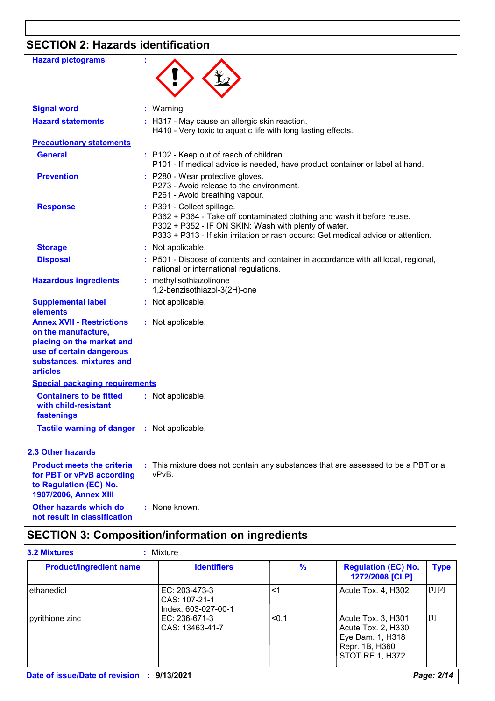## **SECTION 2: Hazards identification**

| <b>Hazard pictograms</b>                                                                                                                                        |                                                                                                                                                                                                                                                   |
|-----------------------------------------------------------------------------------------------------------------------------------------------------------------|---------------------------------------------------------------------------------------------------------------------------------------------------------------------------------------------------------------------------------------------------|
| <b>Signal word</b>                                                                                                                                              | : Warning                                                                                                                                                                                                                                         |
| <b>Hazard statements</b>                                                                                                                                        | : H317 - May cause an allergic skin reaction.<br>H410 - Very toxic to aquatic life with long lasting effects.                                                                                                                                     |
| <b>Precautionary statements</b>                                                                                                                                 |                                                                                                                                                                                                                                                   |
| <b>General</b>                                                                                                                                                  | : P102 - Keep out of reach of children.<br>P101 - If medical advice is needed, have product container or label at hand.                                                                                                                           |
| <b>Prevention</b>                                                                                                                                               | : P280 - Wear protective gloves.<br>P273 - Avoid release to the environment.<br>P261 - Avoid breathing vapour.                                                                                                                                    |
| <b>Response</b>                                                                                                                                                 | : P391 - Collect spillage.<br>P362 + P364 - Take off contaminated clothing and wash it before reuse.<br>P302 + P352 - IF ON SKIN: Wash with plenty of water.<br>P333 + P313 - If skin irritation or rash occurs: Get medical advice or attention. |
| <b>Storage</b>                                                                                                                                                  | : Not applicable.                                                                                                                                                                                                                                 |
| <b>Disposal</b>                                                                                                                                                 | : P501 - Dispose of contents and container in accordance with all local, regional,<br>national or international regulations.                                                                                                                      |
| <b>Hazardous ingredients</b>                                                                                                                                    | : methylisothiazolinone<br>1,2-benzisothiazol-3(2H)-one                                                                                                                                                                                           |
| <b>Supplemental label</b><br>elements                                                                                                                           | : Not applicable.                                                                                                                                                                                                                                 |
| <b>Annex XVII - Restrictions</b><br>on the manufacture,<br>placing on the market and<br>use of certain dangerous<br>substances, mixtures and<br><b>articles</b> | : Not applicable.                                                                                                                                                                                                                                 |
| <b>Special packaging requirements</b>                                                                                                                           |                                                                                                                                                                                                                                                   |
| <b>Containers to be fitted</b><br>with child-resistant<br>fastenings                                                                                            | : Not applicable.                                                                                                                                                                                                                                 |
| <b>Tactile warning of danger : Not applicable.</b>                                                                                                              |                                                                                                                                                                                                                                                   |
| 2.3 Other hazards                                                                                                                                               |                                                                                                                                                                                                                                                   |
| <b>Product meets the criteria</b><br>for PBT or vPvB according<br>to Regulation (EC) No.<br>1907/2006, Annex XIII                                               | : This mixture does not contain any substances that are assessed to be a PBT or a<br>vPvB.                                                                                                                                                        |
| Other hazards which do                                                                                                                                          | : None known.                                                                                                                                                                                                                                     |

**not result in classification**

### **SECTION 3: Composition/information on ingredients**

| <b>Product/ingredient name</b> | <b>Identifiers</b>                                    | $\%$  | <b>Regulation (EC) No.</b><br>1272/2008 [CLP]                                                            | <b>Type</b> |
|--------------------------------|-------------------------------------------------------|-------|----------------------------------------------------------------------------------------------------------|-------------|
| ethanediol                     | EC: 203-473-3<br>CAS: 107-21-1<br>Index: 603-027-00-1 | <1    | Acute Tox. 4, H302                                                                                       | [1] [2]     |
| pyrithione zinc                | EC: 236-671-3<br>CAS: 13463-41-7                      | < 0.1 | Acute Tox. 3, H301<br>Acute Tox. 2, H330<br>Eye Dam. 1, H318<br>Repr. 1B, H360<br><b>STOT RE 1, H372</b> | [1]         |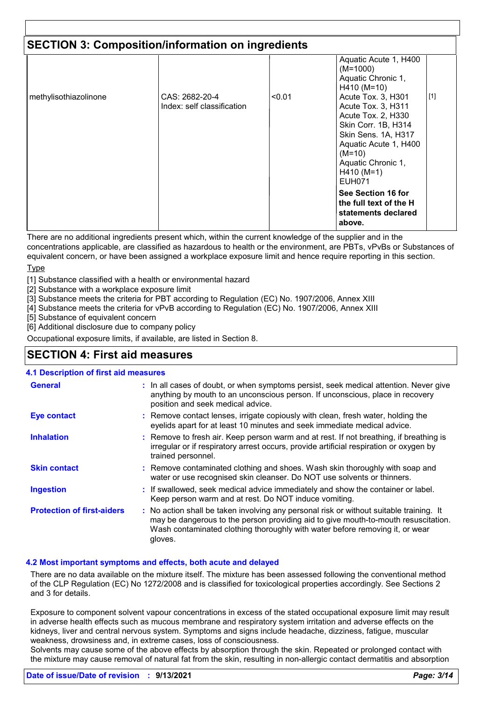| <b>SECTION 3: Composition/information on ingredients</b> |                                              |        |                                                                                                                                                                                                                                                                                        |       |
|----------------------------------------------------------|----------------------------------------------|--------|----------------------------------------------------------------------------------------------------------------------------------------------------------------------------------------------------------------------------------------------------------------------------------------|-------|
| methylisothiazolinone                                    | CAS: 2682-20-4<br>Index: self classification | < 0.01 | Aquatic Acute 1, H400<br>$(M=1000)$<br>Aquatic Chronic 1,<br>$H410 (M=10)$<br>Acute Tox. 3, H301<br>Acute Tox. 3, H311<br>Acute Tox. 2, H330<br>Skin Corr. 1B, H314<br>Skin Sens. 1A, H317<br>Aquatic Acute 1, H400<br>$(M=10)$<br>Aquatic Chronic 1,<br>$H410 (M=1)$<br><b>EUH071</b> | $[1]$ |
|                                                          |                                              |        | See Section 16 for<br>the full text of the H<br>statements declared<br>above.                                                                                                                                                                                                          |       |

There are no additional ingredients present which, within the current knowledge of the supplier and in the concentrations applicable, are classified as hazardous to health or the environment, are PBTs, vPvBs or Substances of equivalent concern, or have been assigned a workplace exposure limit and hence require reporting in this section.

**Type** 

[1] Substance classified with a health or environmental hazard

- [2] Substance with a workplace exposure limit
- [3] Substance meets the criteria for PBT according to Regulation (EC) No. 1907/2006, Annex XIII
- [4] Substance meets the criteria for vPvB according to Regulation (EC) No. 1907/2006, Annex XIII

[5] Substance of equivalent concern

[6] Additional disclosure due to company policy

Occupational exposure limits, if available, are listed in Section 8.

### **SECTION 4: First aid measures**

#### **4.1 Description of first aid measures**

| <b>General</b>                    | : In all cases of doubt, or when symptoms persist, seek medical attention. Never give<br>anything by mouth to an unconscious person. If unconscious, place in recovery<br>position and seek medical advice.                                                              |
|-----------------------------------|--------------------------------------------------------------------------------------------------------------------------------------------------------------------------------------------------------------------------------------------------------------------------|
| <b>Eye contact</b>                | : Remove contact lenses, irrigate copiously with clean, fresh water, holding the<br>eyelids apart for at least 10 minutes and seek immediate medical advice.                                                                                                             |
| <b>Inhalation</b>                 | : Remove to fresh air. Keep person warm and at rest. If not breathing, if breathing is<br>irregular or if respiratory arrest occurs, provide artificial respiration or oxygen by<br>trained personnel.                                                                   |
| <b>Skin contact</b>               | : Remove contaminated clothing and shoes. Wash skin thoroughly with soap and<br>water or use recognised skin cleanser. Do NOT use solvents or thinners.                                                                                                                  |
| <b>Ingestion</b>                  | : If swallowed, seek medical advice immediately and show the container or label.<br>Keep person warm and at rest. Do NOT induce vomiting.                                                                                                                                |
| <b>Protection of first-aiders</b> | : No action shall be taken involving any personal risk or without suitable training. It<br>may be dangerous to the person providing aid to give mouth-to-mouth resuscitation.<br>Wash contaminated clothing thoroughly with water before removing it, or wear<br>gloves. |

#### **4.2 Most important symptoms and effects, both acute and delayed**

There are no data available on the mixture itself. The mixture has been assessed following the conventional method of the CLP Regulation (EC) No 1272/2008 and is classified for toxicological properties accordingly. See Sections 2 and 3 for details.

Exposure to component solvent vapour concentrations in excess of the stated occupational exposure limit may result in adverse health effects such as mucous membrane and respiratory system irritation and adverse effects on the kidneys, liver and central nervous system. Symptoms and signs include headache, dizziness, fatigue, muscular weakness, drowsiness and, in extreme cases, loss of consciousness.

Solvents may cause some of the above effects by absorption through the skin. Repeated or prolonged contact with the mixture may cause removal of natural fat from the skin, resulting in non-allergic contact dermatitis and absorption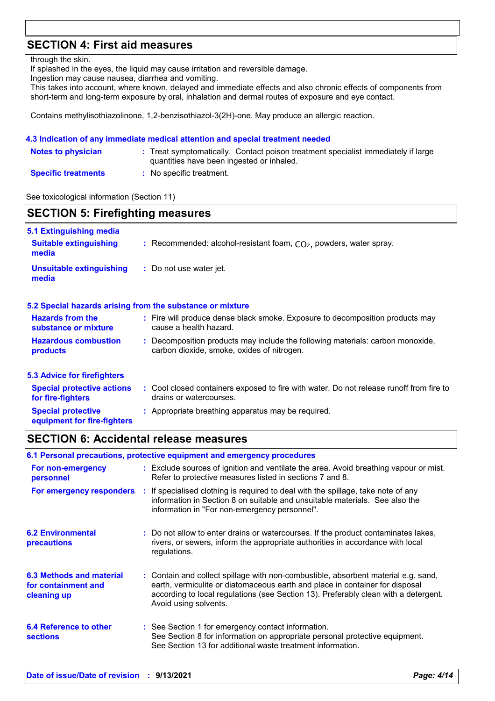### **SECTION 4: First aid measures**

through the skin.

If splashed in the eyes, the liquid may cause irritation and reversible damage.

Ingestion may cause nausea, diarrhea and vomiting.

This takes into account, where known, delayed and immediate effects and also chronic effects of components from short-term and long-term exposure by oral, inhalation and dermal routes of exposure and eye contact.

Contains methylisothiazolinone, 1,2-benzisothiazol-3(2H)-one. May produce an allergic reaction.

#### **4.3 Indication of any immediate medical attention and special treatment needed**

| <b>Notes to physician</b>  | : Treat symptomatically. Contact poison treatment specialist immediately if large<br>quantities have been ingested or inhaled. |
|----------------------------|--------------------------------------------------------------------------------------------------------------------------------|
| <b>Specific treatments</b> | : No specific treatment.                                                                                                       |

See toxicological information (Section 11)

### **SECTION 5: Firefighting measures**

| 5.1 Extinguishing media<br><b>Suitable extinguishing</b><br>media | : Recommended: alcohol-resistant foam, $CO2$ , powders, water spray.                                                         |
|-------------------------------------------------------------------|------------------------------------------------------------------------------------------------------------------------------|
| <b>Unsuitable extinguishing</b><br>media                          | : Do not use water jet.                                                                                                      |
|                                                                   | 5.2 Special hazards arising from the substance or mixture                                                                    |
| <b>Hazards from the</b><br>substance or mixture                   | : Fire will produce dense black smoke. Exposure to decomposition products may<br>cause a health hazard.                      |
| <b>Hazardous combustion</b><br>products                           | : Decomposition products may include the following materials: carbon monoxide,<br>carbon dioxide, smoke, oxides of nitrogen. |
| <b>5.3 Advice for firefighters</b>                                |                                                                                                                              |
| <b>Special protective actions</b><br>for fire-fighters            | : Cool closed containers exposed to fire with water. Do not release runoff from fire to<br>drains or watercourses.           |
| <b>Special protective</b><br>equipment for fire-fighters          | : Appropriate breathing apparatus may be required.                                                                           |

### **SECTION 6: Accidental release measures**

|                                                                | 6.1 Personal precautions, protective equipment and emergency procedures                                                                                                                                                                                                            |
|----------------------------------------------------------------|------------------------------------------------------------------------------------------------------------------------------------------------------------------------------------------------------------------------------------------------------------------------------------|
| For non-emergency<br>personnel                                 | : Exclude sources of ignition and ventilate the area. Avoid breathing vapour or mist.<br>Refer to protective measures listed in sections 7 and 8.                                                                                                                                  |
| For emergency responders                                       | : If specialised clothing is required to deal with the spillage, take note of any<br>information in Section 8 on suitable and unsuitable materials. See also the<br>information in "For non-emergency personnel".                                                                  |
| <b>6.2 Environmental</b><br>precautions                        | : Do not allow to enter drains or watercourses. If the product contaminates lakes,<br>rivers, or sewers, inform the appropriate authorities in accordance with local<br>regulations.                                                                                               |
| 6.3 Methods and material<br>for containment and<br>cleaning up | : Contain and collect spillage with non-combustible, absorbent material e.g. sand,<br>earth, vermiculite or diatomaceous earth and place in container for disposal<br>according to local regulations (see Section 13). Preferably clean with a detergent.<br>Avoid using solvents. |
| 6.4 Reference to other<br><b>sections</b>                      | : See Section 1 for emergency contact information.<br>See Section 8 for information on appropriate personal protective equipment.<br>See Section 13 for additional waste treatment information.                                                                                    |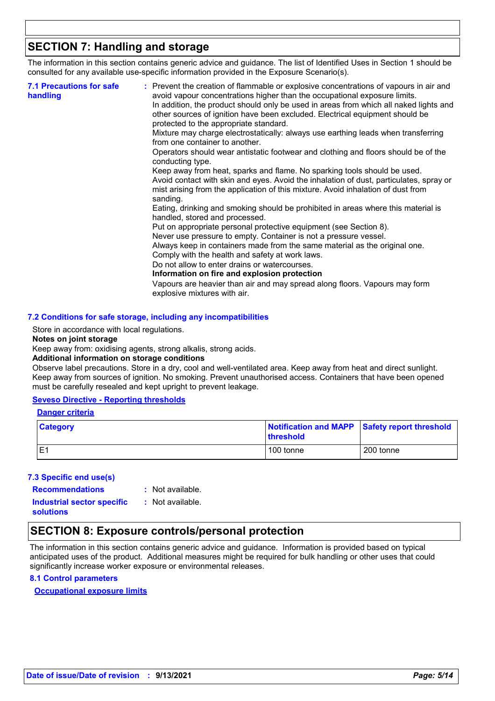### **SECTION 7: Handling and storage**

The information in this section contains generic advice and guidance. The list of Identified Uses in Section 1 should be consulted for any available use-specific information provided in the Exposure Scenario(s).

| <b>7.1 Precautions for safe</b><br>handling | : Prevent the creation of flammable or explosive concentrations of vapours in air and<br>avoid vapour concentrations higher than the occupational exposure limits.<br>In addition, the product should only be used in areas from which all naked lights and<br>other sources of ignition have been excluded. Electrical equipment should be<br>protected to the appropriate standard. |
|---------------------------------------------|---------------------------------------------------------------------------------------------------------------------------------------------------------------------------------------------------------------------------------------------------------------------------------------------------------------------------------------------------------------------------------------|
|                                             | Mixture may charge electrostatically: always use earthing leads when transferring<br>from one container to another.                                                                                                                                                                                                                                                                   |
|                                             | Operators should wear antistatic footwear and clothing and floors should be of the<br>conducting type.                                                                                                                                                                                                                                                                                |
|                                             | Keep away from heat, sparks and flame. No sparking tools should be used.<br>Avoid contact with skin and eyes. Avoid the inhalation of dust, particulates, spray or<br>mist arising from the application of this mixture. Avoid inhalation of dust from<br>sanding.                                                                                                                    |
|                                             | Eating, drinking and smoking should be prohibited in areas where this material is<br>handled, stored and processed.                                                                                                                                                                                                                                                                   |
|                                             | Put on appropriate personal protective equipment (see Section 8).<br>Never use pressure to empty. Container is not a pressure vessel.                                                                                                                                                                                                                                                 |
|                                             | Always keep in containers made from the same material as the original one.<br>Comply with the health and safety at work laws.                                                                                                                                                                                                                                                         |
|                                             | Do not allow to enter drains or watercourses.                                                                                                                                                                                                                                                                                                                                         |
|                                             | Information on fire and explosion protection                                                                                                                                                                                                                                                                                                                                          |
|                                             | Vapours are heavier than air and may spread along floors. Vapours may form<br>explosive mixtures with air.                                                                                                                                                                                                                                                                            |

#### **7.2 Conditions for safe storage, including any incompatibilities**

Store in accordance with local regulations.

#### **Notes on joint storage**

Keep away from: oxidising agents, strong alkalis, strong acids.

#### **Additional information on storage conditions**

Observe label precautions. Store in a dry, cool and well-ventilated area. Keep away from heat and direct sunlight. Keep away from sources of ignition. No smoking. Prevent unauthorised access. Containers that have been opened must be carefully resealed and kept upright to prevent leakage.

#### **Seveso Directive - Reporting thresholds**

#### **Danger criteria**

| <b>Category</b> | Notification and MAPP Safety report threshold<br>threshold |           |  |
|-----------------|------------------------------------------------------------|-----------|--|
| IE1             | 100 tonne                                                  | 200 tonne |  |

#### **7.3 Specific end use(s)**

**Recommendations :**

: Not available.

**Industrial sector specific : solutions**

```
: Not available.
```
### **SECTION 8: Exposure controls/personal protection**

The information in this section contains generic advice and guidance. Information is provided based on typical anticipated uses of the product. Additional measures might be required for bulk handling or other uses that could significantly increase worker exposure or environmental releases.

#### **8.1 Control parameters**

**Occupational exposure limits**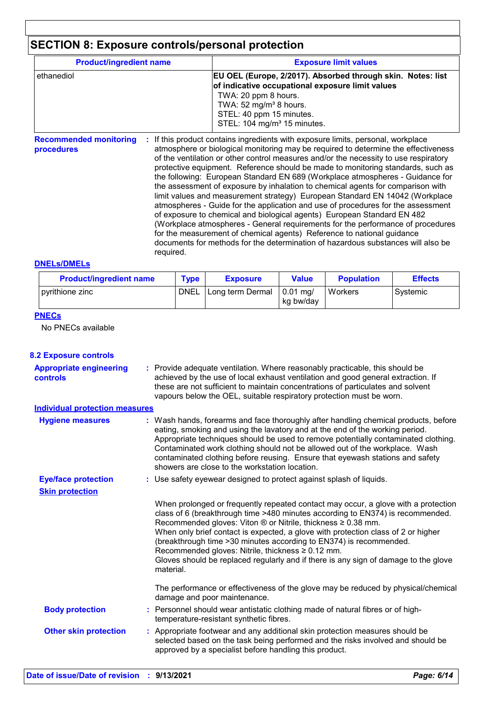## **SECTION 8: Exposure controls/personal protection**

| <b>Product/ingredient name</b>              |           | <b>Exposure limit values</b>                                                                                                                                                                                                                                                                                                                                                                                                                                                                                                                                                                                                                                                                                                                                                                                                                                                                                                                                                                                        |  |  |
|---------------------------------------------|-----------|---------------------------------------------------------------------------------------------------------------------------------------------------------------------------------------------------------------------------------------------------------------------------------------------------------------------------------------------------------------------------------------------------------------------------------------------------------------------------------------------------------------------------------------------------------------------------------------------------------------------------------------------------------------------------------------------------------------------------------------------------------------------------------------------------------------------------------------------------------------------------------------------------------------------------------------------------------------------------------------------------------------------|--|--|
| ethanediol                                  |           | EU OEL (Europe, 2/2017). Absorbed through skin. Notes: list<br>of indicative occupational exposure limit values<br>TWA: 20 ppm 8 hours.<br>TWA: 52 mg/m <sup>3</sup> 8 hours.<br>STEL: 40 ppm 15 minutes.<br>STEL: 104 mg/m <sup>3</sup> 15 minutes.                                                                                                                                                                                                                                                                                                                                                                                                                                                                                                                                                                                                                                                                                                                                                                |  |  |
| <b>Recommended monitoring</b><br>procedures | reguired. | If this product contains ingredients with exposure limits, personal, workplace<br>atmosphere or biological monitoring may be required to determine the effectiveness<br>of the ventilation or other control measures and/or the necessity to use respiratory<br>protective equipment. Reference should be made to monitoring standards, such as<br>the following: European Standard EN 689 (Workplace atmospheres - Guidance for<br>the assessment of exposure by inhalation to chemical agents for comparison with<br>limit values and measurement strategy) European Standard EN 14042 (Workplace<br>atmospheres - Guide for the application and use of procedures for the assessment<br>of exposure to chemical and biological agents) European Standard EN 482<br>(Workplace atmospheres - General requirements for the performance of procedures<br>for the measurement of chemical agents) Reference to national guidance<br>documents for methods for the determination of hazardous substances will also be |  |  |

#### **DNELs/DMELs**

| <b>Product/ingredient name</b> | <b>Type</b> | <b>Value</b><br><b>Exposure</b> |                                | <b>Population</b> | <b>Effects</b> |  |
|--------------------------------|-------------|---------------------------------|--------------------------------|-------------------|----------------|--|
| pyrithione zinc                | <b>DNEL</b> | Long term Dermal                | $0.01 \text{ ma}$<br>kg bw/day | Workers           | Systemic       |  |

#### **PNECs**

No PNECs available

| <b>8.2 Exposure controls</b>               |                                                                                                                                                                                                                                                                                                                                                                                                                                                                                                                                                                               |
|--------------------------------------------|-------------------------------------------------------------------------------------------------------------------------------------------------------------------------------------------------------------------------------------------------------------------------------------------------------------------------------------------------------------------------------------------------------------------------------------------------------------------------------------------------------------------------------------------------------------------------------|
| <b>Appropriate engineering</b><br>controls | : Provide adequate ventilation. Where reasonably practicable, this should be<br>achieved by the use of local exhaust ventilation and good general extraction. If<br>these are not sufficient to maintain concentrations of particulates and solvent<br>vapours below the OEL, suitable respiratory protection must be worn.                                                                                                                                                                                                                                                   |
| <b>Individual protection measures</b>      |                                                                                                                                                                                                                                                                                                                                                                                                                                                                                                                                                                               |
| <b>Hygiene measures</b>                    | : Wash hands, forearms and face thoroughly after handling chemical products, before<br>eating, smoking and using the lavatory and at the end of the working period.<br>Appropriate techniques should be used to remove potentially contaminated clothing.<br>Contaminated work clothing should not be allowed out of the workplace. Wash<br>contaminated clothing before reusing. Ensure that eyewash stations and safety<br>showers are close to the workstation location.                                                                                                   |
| <b>Eye/face protection</b>                 | : Use safety eyewear designed to protect against splash of liquids.                                                                                                                                                                                                                                                                                                                                                                                                                                                                                                           |
| <b>Skin protection</b>                     |                                                                                                                                                                                                                                                                                                                                                                                                                                                                                                                                                                               |
|                                            | When prolonged or frequently repeated contact may occur, a glove with a protection<br>class of 6 (breakthrough time >480 minutes according to EN374) is recommended.<br>Recommended gloves: Viton $\circledR$ or Nitrile, thickness $\geq 0.38$ mm.<br>When only brief contact is expected, a glove with protection class of 2 or higher<br>(breakthrough time > 30 minutes according to EN374) is recommended.<br>Recommended gloves: Nitrile, thickness $\geq 0.12$ mm.<br>Gloves should be replaced regularly and if there is any sign of damage to the glove<br>material. |
|                                            | The performance or effectiveness of the glove may be reduced by physical/chemical<br>damage and poor maintenance.                                                                                                                                                                                                                                                                                                                                                                                                                                                             |
| <b>Body protection</b>                     | : Personnel should wear antistatic clothing made of natural fibres or of high-<br>temperature-resistant synthetic fibres.                                                                                                                                                                                                                                                                                                                                                                                                                                                     |
| <b>Other skin protection</b>               | : Appropriate footwear and any additional skin protection measures should be<br>selected based on the task being performed and the risks involved and should be<br>approved by a specialist before handling this product.                                                                                                                                                                                                                                                                                                                                                     |
|                                            |                                                                                                                                                                                                                                                                                                                                                                                                                                                                                                                                                                               |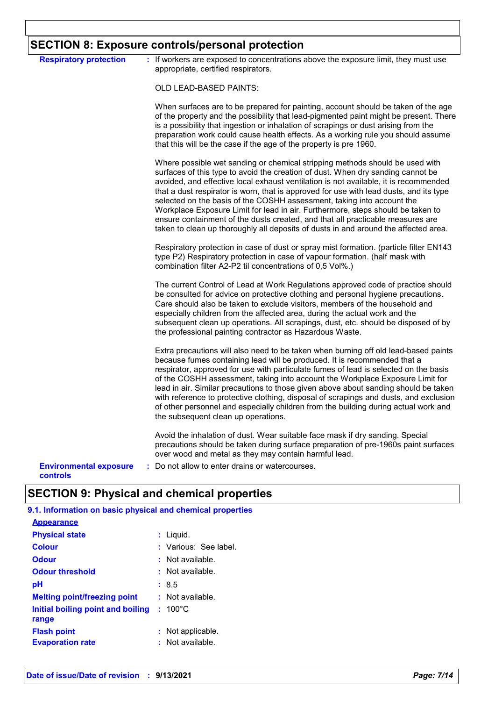### **SECTION 8: Exposure controls/personal protection**

| <b>Respiratory protection</b>             | : If workers are exposed to concentrations above the exposure limit, they must use<br>appropriate, certified respirators.                                                                                                                                                                                                                                                                                                                                                                                                                                                                                                                                                               |
|-------------------------------------------|-----------------------------------------------------------------------------------------------------------------------------------------------------------------------------------------------------------------------------------------------------------------------------------------------------------------------------------------------------------------------------------------------------------------------------------------------------------------------------------------------------------------------------------------------------------------------------------------------------------------------------------------------------------------------------------------|
|                                           | <b>OLD LEAD-BASED PAINTS:</b>                                                                                                                                                                                                                                                                                                                                                                                                                                                                                                                                                                                                                                                           |
|                                           | When surfaces are to be prepared for painting, account should be taken of the age<br>of the property and the possibility that lead-pigmented paint might be present. There<br>is a possibility that ingestion or inhalation of scrapings or dust arising from the<br>preparation work could cause health effects. As a working rule you should assume<br>that this will be the case if the age of the property is pre 1960.                                                                                                                                                                                                                                                             |
|                                           | Where possible wet sanding or chemical stripping methods should be used with<br>surfaces of this type to avoid the creation of dust. When dry sanding cannot be<br>avoided, and effective local exhaust ventilation is not available, it is recommended<br>that a dust respirator is worn, that is approved for use with lead dusts, and its type<br>selected on the basis of the COSHH assessment, taking into account the<br>Workplace Exposure Limit for lead in air. Furthermore, steps should be taken to<br>ensure containment of the dusts created, and that all practicable measures are<br>taken to clean up thoroughly all deposits of dusts in and around the affected area. |
|                                           | Respiratory protection in case of dust or spray mist formation. (particle filter EN143<br>type P2) Respiratory protection in case of vapour formation. (half mask with<br>combination filter A2-P2 til concentrations of 0,5 Vol%.)                                                                                                                                                                                                                                                                                                                                                                                                                                                     |
|                                           | The current Control of Lead at Work Regulations approved code of practice should<br>be consulted for advice on protective clothing and personal hygiene precautions.<br>Care should also be taken to exclude visitors, members of the household and<br>especially children from the affected area, during the actual work and the<br>subsequent clean up operations. All scrapings, dust, etc. should be disposed of by<br>the professional painting contractor as Hazardous Waste.                                                                                                                                                                                                     |
|                                           | Extra precautions will also need to be taken when burning off old lead-based paints<br>because fumes containing lead will be produced. It is recommended that a<br>respirator, approved for use with particulate fumes of lead is selected on the basis<br>of the COSHH assessment, taking into account the Workplace Exposure Limit for<br>lead in air. Similar precautions to those given above about sanding should be taken<br>with reference to protective clothing, disposal of scrapings and dusts, and exclusion<br>of other personnel and especially children from the building during actual work and<br>the subsequent clean up operations.                                  |
|                                           | Avoid the inhalation of dust. Wear suitable face mask if dry sanding. Special<br>precautions should be taken during surface preparation of pre-1960s paint surfaces<br>over wood and metal as they may contain harmful lead.                                                                                                                                                                                                                                                                                                                                                                                                                                                            |
| <b>Environmental exposure</b><br>مامسهميم | : Do not allow to enter drains or watercourses.                                                                                                                                                                                                                                                                                                                                                                                                                                                                                                                                                                                                                                         |

**controls**

### **SECTION 9: Physical and chemical properties**

### **9.1. Information on basic physical and chemical properties**

| <b>Appearance</b>                             |                                         |  |
|-----------------------------------------------|-----------------------------------------|--|
| <b>Physical state</b>                         | : Liquid.                               |  |
| <b>Colour</b>                                 | : Various: See label.                   |  |
| <b>Odour</b>                                  | $:$ Not available.                      |  |
| <b>Odour threshold</b>                        | $\pm$ Not available.                    |  |
| рH                                            | : 8.5                                   |  |
| <b>Melting point/freezing point</b>           | : Not available.                        |  |
| Initial boiling point and boiling<br>range    | $: 100^{\circ}$ C                       |  |
| <b>Flash point</b><br><b>Evaporation rate</b> | : Not applicable.<br>$:$ Not available. |  |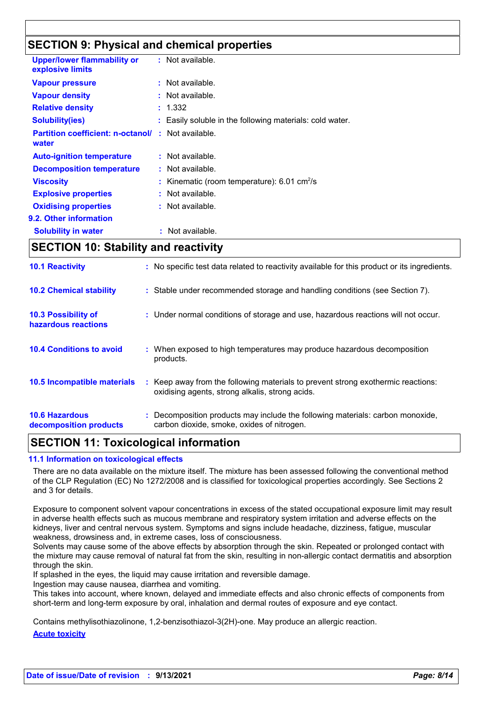### **SECTION 9: Physical and chemical properties**

| <b>Upper/lower flammability or</b><br>explosive limits |    | $:$ Not available.                                       |
|--------------------------------------------------------|----|----------------------------------------------------------|
| <b>Vapour pressure</b>                                 |    | $:$ Not available.                                       |
| <b>Vapour density</b>                                  |    | : Not available.                                         |
| <b>Relative density</b>                                |    | : 1.332                                                  |
| <b>Solubility(ies)</b>                                 |    | : Easily soluble in the following materials: cold water. |
| <b>Partition coefficient: n-octanol/</b><br>water      |    | $:$ Not available.                                       |
| <b>Auto-ignition temperature</b>                       |    | $:$ Not available.                                       |
| <b>Decomposition temperature</b>                       |    | $:$ Not available.                                       |
| <b>Viscosity</b>                                       |    | Kinematic (room temperature): 6.01 cm <sup>2</sup> /s    |
| <b>Explosive properties</b>                            |    | $:$ Not available.                                       |
| <b>Oxidising properties</b>                            |    | : Not available.                                         |
| 9.2. Other information                                 |    |                                                          |
| <b>Solubility in water</b>                             | ÷. | Not available.                                           |

### **SECTION 10: Stability and reactivity**

| <b>10.6 Hazardous</b><br>decomposition products   | : Decomposition products may include the following materials: carbon monoxide,<br>carbon dioxide, smoke, oxides of nitrogen.        |
|---------------------------------------------------|-------------------------------------------------------------------------------------------------------------------------------------|
| 10.5 Incompatible materials                       | : Keep away from the following materials to prevent strong exothermic reactions:<br>oxidising agents, strong alkalis, strong acids. |
| <b>10.4 Conditions to avoid</b>                   | : When exposed to high temperatures may produce hazardous decomposition<br>products.                                                |
| <b>10.3 Possibility of</b><br>hazardous reactions | : Under normal conditions of storage and use, hazardous reactions will not occur.                                                   |
| <b>10.2 Chemical stability</b>                    | : Stable under recommended storage and handling conditions (see Section 7).                                                         |
| <b>10.1 Reactivity</b>                            | : No specific test data related to reactivity available for this product or its ingredients.                                        |

### **SECTION 11: Toxicological information**

#### **11.1 Information on toxicological effects**

There are no data available on the mixture itself. The mixture has been assessed following the conventional method of the CLP Regulation (EC) No 1272/2008 and is classified for toxicological properties accordingly. See Sections 2 and 3 for details.

Exposure to component solvent vapour concentrations in excess of the stated occupational exposure limit may result in adverse health effects such as mucous membrane and respiratory system irritation and adverse effects on the kidneys, liver and central nervous system. Symptoms and signs include headache, dizziness, fatigue, muscular weakness, drowsiness and, in extreme cases, loss of consciousness.

Solvents may cause some of the above effects by absorption through the skin. Repeated or prolonged contact with the mixture may cause removal of natural fat from the skin, resulting in non-allergic contact dermatitis and absorption through the skin.

If splashed in the eyes, the liquid may cause irritation and reversible damage.

Ingestion may cause nausea, diarrhea and vomiting.

This takes into account, where known, delayed and immediate effects and also chronic effects of components from short-term and long-term exposure by oral, inhalation and dermal routes of exposure and eye contact.

Contains methylisothiazolinone, 1,2-benzisothiazol-3(2H)-one. May produce an allergic reaction.

**Acute toxicity**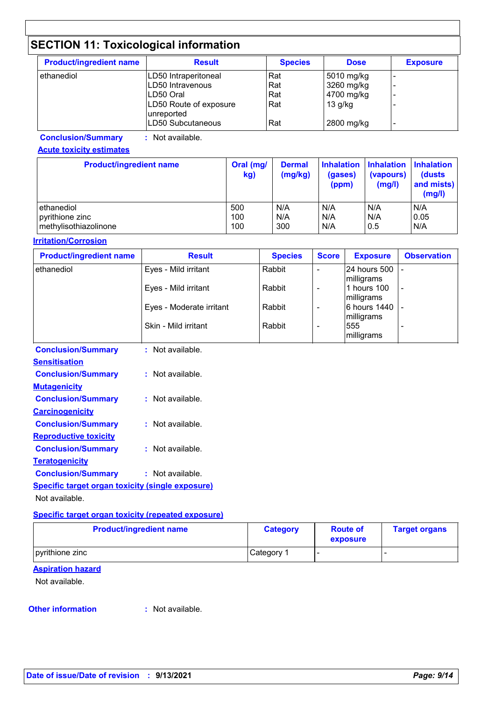## **SECTION 11: Toxicological information**

| <b>Product/ingredient name</b> | <b>Result</b>                                             | <b>Species</b>    | <b>Dose</b>                            | <b>Exposure</b> |
|--------------------------------|-----------------------------------------------------------|-------------------|----------------------------------------|-----------------|
| ethanediol                     | LD50 Intraperitoneal<br>LD50 Intravenous<br>LD50 Oral     | Rat<br>Rat<br>Rat | 5010 mg/kg<br>3260 mg/kg<br>4700 mg/kg |                 |
|                                | LD50 Route of exposure<br>unreported<br>LD50 Subcutaneous | Rat<br>Rat        | $13$ g/kg<br>2800 mg/kg                |                 |

**Conclusion/Summary :** Not available.

#### **Acute toxicity estimates**

| <b>Product/ingredient name</b> | Oral (mg/<br>kg) | <b>Dermal</b><br>(mg/kg) | (gases)<br>(ppm) | Inhalation Inhalation Inhalation<br>(vapours)<br>(mg/l) | (dusts<br>and mists)<br>(mg/l) |
|--------------------------------|------------------|--------------------------|------------------|---------------------------------------------------------|--------------------------------|
| ethanediol                     | 500              | N/A                      | N/A              | N/A                                                     | N/A                            |
| pyrithione zinc                | 100              | N/A                      | N/A              | N/A                                                     | 0.05                           |
| methylisothiazolinone          | 100              | 300                      | N/A              | 0.5                                                     | N/A                            |

#### **Irritation/Corrosion**

| <b>Product/ingredient name</b>                   | <b>Result</b>            | <b>Species</b> | <b>Score</b>   | <b>Exposure</b>            | <b>Observation</b> |  |  |
|--------------------------------------------------|--------------------------|----------------|----------------|----------------------------|--------------------|--|--|
| ethanediol                                       | Eyes - Mild irritant     | Rabbit         | ÷,             | 24 hours 500<br>milligrams |                    |  |  |
|                                                  | Eyes - Mild irritant     | Rabbit         | $\blacksquare$ | 1 hours 100<br>milligrams  |                    |  |  |
|                                                  | Eyes - Moderate irritant | Rabbit         | $\blacksquare$ | 6 hours 1440<br>milligrams |                    |  |  |
|                                                  | Skin - Mild irritant     | Rabbit         | $\blacksquare$ | 555<br>milligrams          |                    |  |  |
| <b>Conclusion/Summary</b>                        | : Not available.         |                |                |                            |                    |  |  |
| <b>Sensitisation</b>                             |                          |                |                |                            |                    |  |  |
| <b>Conclusion/Summary</b>                        | : Not available.         |                |                |                            |                    |  |  |
| <b>Mutagenicity</b>                              |                          |                |                |                            |                    |  |  |
| <b>Conclusion/Summary</b>                        | : Not available.         |                |                |                            |                    |  |  |
| <b>Carcinogenicity</b>                           |                          |                |                |                            |                    |  |  |
| <b>Conclusion/Summary</b>                        | : Not available.         |                |                |                            |                    |  |  |
| <b>Reproductive toxicity</b>                     |                          |                |                |                            |                    |  |  |
| <b>Conclusion/Summary</b>                        | : Not available.         |                |                |                            |                    |  |  |
| <b>Teratogenicity</b>                            |                          |                |                |                            |                    |  |  |
| <b>Conclusion/Summary</b>                        | : Not available.         |                |                |                            |                    |  |  |
| Specific target organ toxicity (single exposure) |                          |                |                |                            |                    |  |  |
| Not available.                                   |                          |                |                |                            |                    |  |  |
|                                                  |                          |                |                |                            |                    |  |  |

#### **Specific target organ toxicity (repeated exposure)**

| <b>Product/ingredient name</b> | <b>Category</b> | <b>Route of</b><br>exposure | <b>Target organs</b> |
|--------------------------------|-----------------|-----------------------------|----------------------|
| pyrithione zinc                | Category 1      |                             |                      |

#### **Aspiration hazard**

Not available.

#### **Other information :**

: Not available.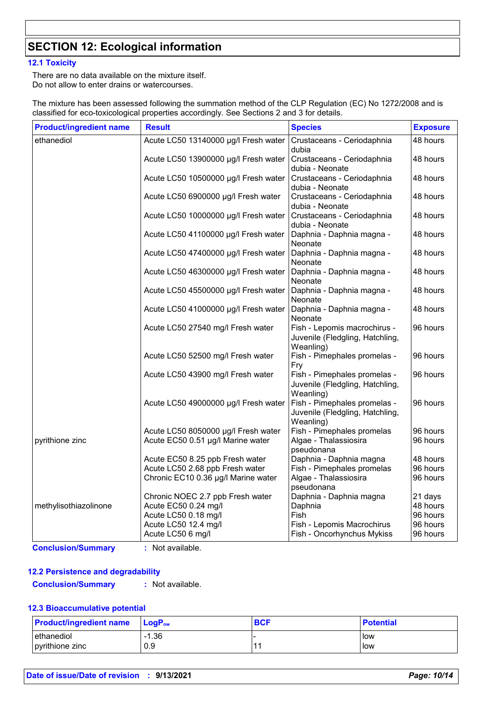### **SECTION 12: Ecological information**

#### **12.1 Toxicity**

There are no data available on the mixture itself. Do not allow to enter drains or watercourses.

The mixture has been assessed following the summation method of the CLP Regulation (EC) No 1272/2008 and is classified for eco-toxicological properties accordingly. See Sections 2 and 3 for details.

| <b>Product/ingredient name</b> | <b>Result</b>                        | <b>Species</b>                                                               | <b>Exposure</b> |
|--------------------------------|--------------------------------------|------------------------------------------------------------------------------|-----------------|
| ethanediol                     | Acute LC50 13140000 µg/l Fresh water | Crustaceans - Ceriodaphnia<br>dubia                                          | 48 hours        |
|                                | Acute LC50 13900000 µg/l Fresh water | Crustaceans - Ceriodaphnia<br>dubia - Neonate                                | 48 hours        |
|                                | Acute LC50 10500000 µg/l Fresh water | Crustaceans - Ceriodaphnia<br>dubia - Neonate                                | 48 hours        |
|                                | Acute LC50 6900000 µg/l Fresh water  | Crustaceans - Ceriodaphnia<br>dubia - Neonate                                | 48 hours        |
|                                | Acute LC50 10000000 µg/l Fresh water | Crustaceans - Ceriodaphnia<br>dubia - Neonate                                | 48 hours        |
|                                | Acute LC50 41100000 µg/l Fresh water | Daphnia - Daphnia magna -<br>Neonate                                         | 48 hours        |
|                                | Acute LC50 47400000 µg/l Fresh water | Daphnia - Daphnia magna -<br>Neonate                                         | 48 hours        |
|                                | Acute LC50 46300000 µg/l Fresh water | Daphnia - Daphnia magna -<br>Neonate                                         | 48 hours        |
|                                | Acute LC50 45500000 µg/l Fresh water | Daphnia - Daphnia magna -<br>Neonate                                         | 48 hours        |
|                                | Acute LC50 41000000 µg/l Fresh water | Daphnia - Daphnia magna -<br>Neonate                                         | 48 hours        |
|                                | Acute LC50 27540 mg/l Fresh water    | Fish - Lepomis macrochirus -<br>Juvenile (Fledgling, Hatchling,<br>Weanling) | 96 hours        |
|                                | Acute LC50 52500 mg/l Fresh water    | Fish - Pimephales promelas -<br>Fry                                          | 96 hours        |
|                                | Acute LC50 43900 mg/l Fresh water    | Fish - Pimephales promelas -<br>Juvenile (Fledgling, Hatchling,<br>Weanling) | 96 hours        |
|                                | Acute LC50 49000000 µg/l Fresh water | Fish - Pimephales promelas -<br>Juvenile (Fledgling, Hatchling,<br>Weanling) | 96 hours        |
|                                | Acute LC50 8050000 µg/l Fresh water  | Fish - Pimephales promelas                                                   | 96 hours        |
| pyrithione zinc                | Acute EC50 0.51 µg/l Marine water    | Algae - Thalassiosira<br>pseudonana                                          | 96 hours        |
|                                | Acute EC50 8.25 ppb Fresh water      | Daphnia - Daphnia magna                                                      | 48 hours        |
|                                | Acute LC50 2.68 ppb Fresh water      | Fish - Pimephales promelas                                                   | 96 hours        |
|                                | Chronic EC10 0.36 µg/l Marine water  | Algae - Thalassiosira<br>pseudonana                                          | 96 hours        |
|                                | Chronic NOEC 2.7 ppb Fresh water     | Daphnia - Daphnia magna                                                      | 21 days         |
| methylisothiazolinone          | Acute EC50 0.24 mg/l                 | Daphnia                                                                      | 48 hours        |
|                                | Acute LC50 0.18 mg/l                 | Fish                                                                         | 96 hours        |
|                                | Acute LC50 12.4 mg/l                 | Fish - Lepomis Macrochirus                                                   | 96 hours        |
|                                | Acute LC50 6 mg/l                    | Fish - Oncorhynchus Mykiss                                                   | 96 hours        |

**Conclusion/Summary :** Not available.

#### **12.2 Persistence and degradability**

**Conclusion/Summary :** Not available.

#### **12.3 Bioaccumulative potential**

| <b>Product/ingredient name</b> | $\mathsf{LogP}_\mathsf{ow}$ | <b>BCF</b> | <b>Potential</b> |
|--------------------------------|-----------------------------|------------|------------------|
| l ethanediol                   | $-1.36$                     |            | low              |
| pyrithione zinc                | 0.9                         |            | low              |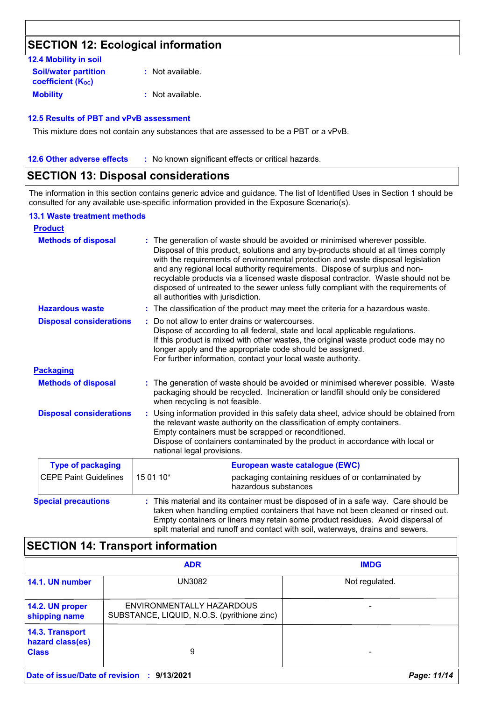### **SECTION 12: Ecological information**

| 12.4 Mobility in soil                                   |                  |
|---------------------------------------------------------|------------------|
| <b>Soil/water partition</b><br><b>coefficient (Koc)</b> | : Not available. |
| <b>Mobility</b>                                         | : Not available. |

#### **12.5 Results of PBT and vPvB assessment**

This mixture does not contain any substances that are assessed to be a PBT or a vPvB.

**12.6 Other adverse effects** : No known significant effects or critical hazards.

### **SECTION 13: Disposal considerations**

The information in this section contains generic advice and guidance. The list of Identified Uses in Section 1 should be consulted for any available use-specific information provided in the Exposure Scenario(s).

#### **13.1 Waste treatment methods**

| <b>Product</b>                 |                                                                                                                                                                                                                                                                                                                                                                                                                                                                                                                                                    |
|--------------------------------|----------------------------------------------------------------------------------------------------------------------------------------------------------------------------------------------------------------------------------------------------------------------------------------------------------------------------------------------------------------------------------------------------------------------------------------------------------------------------------------------------------------------------------------------------|
| <b>Methods of disposal</b>     | The generation of waste should be avoided or minimised wherever possible.<br>Disposal of this product, solutions and any by-products should at all times comply<br>with the requirements of environmental protection and waste disposal legislation<br>and any regional local authority requirements. Dispose of surplus and non-<br>recyclable products via a licensed waste disposal contractor. Waste should not be<br>disposed of untreated to the sewer unless fully compliant with the requirements of<br>all authorities with jurisdiction. |
| <b>Hazardous waste</b>         | The classification of the product may meet the criteria for a hazardous waste.<br>t.                                                                                                                                                                                                                                                                                                                                                                                                                                                               |
| <b>Disposal considerations</b> | Do not allow to enter drains or watercourses.<br>Dispose of according to all federal, state and local applicable regulations.<br>If this product is mixed with other wastes, the original waste product code may no<br>longer apply and the appropriate code should be assigned.<br>For further information, contact your local waste authority.                                                                                                                                                                                                   |
| <b>Packaging</b>               |                                                                                                                                                                                                                                                                                                                                                                                                                                                                                                                                                    |
| <b>Methods of disposal</b>     | The generation of waste should be avoided or minimised wherever possible. Waste<br>packaging should be recycled. Incineration or landfill should only be considered<br>when recycling is not feasible.                                                                                                                                                                                                                                                                                                                                             |
| <b>Disposal considerations</b> | Using information provided in this safety data sheet, advice should be obtained from<br>÷<br>the relevant waste authority on the classification of empty containers.<br>Empty containers must be scrapped or reconditioned.<br>Dispose of containers contaminated by the product in accordance with local or<br>national legal provisions.                                                                                                                                                                                                         |
| <b>Type of packaging</b>       | European waste catalogue (EWC)                                                                                                                                                                                                                                                                                                                                                                                                                                                                                                                     |
| <b>CEPE Paint Guidelines</b>   | 15 01 10*<br>packaging containing residues of or contaminated by<br>hazardous substances                                                                                                                                                                                                                                                                                                                                                                                                                                                           |
| <b>Special precautions</b>     | This material and its container must be disposed of in a safe way. Care should be<br>taken when handling emptied containers that have not been cleaned or rinsed out.<br>Empty containers or liners may retain some product residues. Avoid dispersal of<br>spilt material and runoff and contact with soil, waterways, drains and sewers.                                                                                                                                                                                                         |

| <b>SECTION 14: Transport information</b>            |                                                                          |                |
|-----------------------------------------------------|--------------------------------------------------------------------------|----------------|
|                                                     | <b>ADR</b>                                                               | <b>IMDG</b>    |
| 14.1. UN number                                     | UN3082                                                                   | Not regulated. |
| 14.2. UN proper<br>shipping name                    | ENVIRONMENTALLY HAZARDOUS<br>SUBSTANCE, LIQUID, N.O.S. (pyrithione zinc) |                |
| 14.3. Transport<br>hazard class(es)<br><b>Class</b> | 9                                                                        |                |
| Date of issue/Date of revision                      | 9/13/2021<br>- 17                                                        | Page: 11/14    |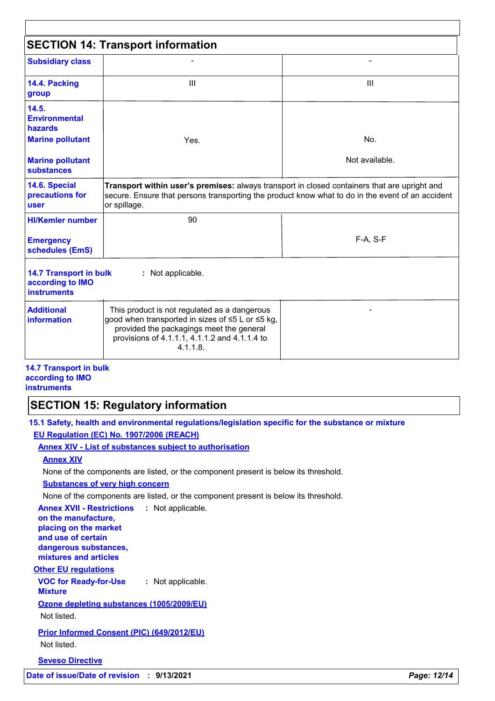| <b>SECTION 14: Transport information</b>                                |                                                                                                                                                                                                                  |                |
|-------------------------------------------------------------------------|------------------------------------------------------------------------------------------------------------------------------------------------------------------------------------------------------------------|----------------|
| <b>Subsidiary class</b>                                                 |                                                                                                                                                                                                                  |                |
| 14.4. Packing<br>group                                                  | Ш                                                                                                                                                                                                                | Ш              |
| 14.5.<br><b>Environmental</b><br>hazards<br><b>Marine pollutant</b>     | Yes.                                                                                                                                                                                                             | No.            |
| <b>Marine pollutant</b><br><b>substances</b>                            |                                                                                                                                                                                                                  | Not available. |
| 14.6. Special<br>precautions for<br><b>user</b>                         | Transport within user's premises: always transport in closed containers that are upright and<br>secure. Ensure that persons transporting the product know what to do in the event of an accident<br>or spillage. |                |
| <b>HI/Kemler number</b>                                                 | 90                                                                                                                                                                                                               |                |
| <b>Emergency</b><br>schedules (EmS)                                     |                                                                                                                                                                                                                  | F-A, S-F       |
| <b>14.7 Transport in bulk</b><br>according to IMO<br><b>instruments</b> | : Not applicable.                                                                                                                                                                                                |                |
| <b>Additional</b><br><b>information</b>                                 | This product is not regulated as a dangerous<br>good when transported in sizes of ≤5 L or ≤5 kg,<br>provided the packagings meet the general<br>provisions of 4.1.1.1, 4.1.1.2 and 4.1.1.4 to<br>$4.1.1.8$ .     |                |

#### **14.7 Transport in bulk according to IMO instruments**

### **SECTION 15: Regulatory information**

**15.1 Safety, health and environmental regulations/legislation specific for the substance or mixture EU Regulation (EC) No. 1907/2006 (REACH)**

#### **Annex XIV - List of substances subject to authorisation**

#### **Annex XIV**

None of the components are listed, or the component present is below its threshold.

#### **Substances of very high concern**

None of the components are listed, or the component present is below its threshold.

#### **Annex XVII - Restrictions :** Not applicable. **on the manufacture,**

**placing on the market and use of certain dangerous substances, mixtures and articles**

### **Other EU regulations**

**VOC for Ready-for-Use :** Not applicable.

#### **Mixture**

**Ozone depleting substances (1005/2009/EU)**

Not listed.

## **Prior Informed Consent (PIC) (649/2012/EU)**

Not listed.

#### **Seveso Directive**

**Date of issue/Date of revision : 9/13/2021** *Page: 12/14*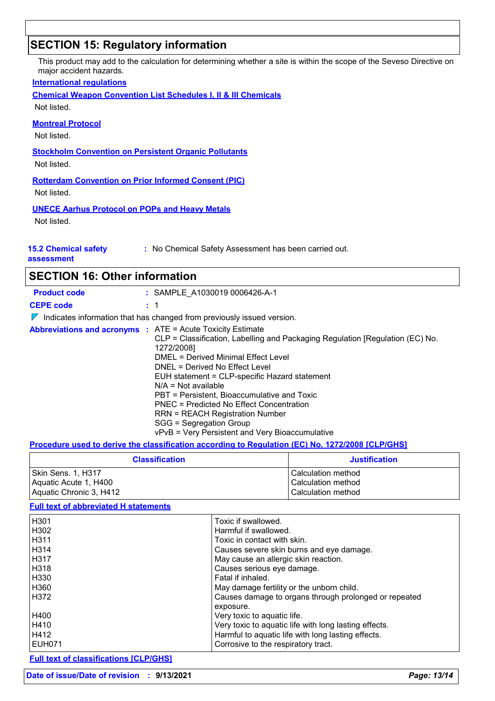### **SECTION 15: Regulatory information**

This product may add to the calculation for determining whether a site is within the scope of the Seveso Directive on major accident hazards.

#### **International regulations**

**Chemical Weapon Convention List Schedules I, II & III Chemicals**

Not listed.

#### **Montreal Protocol**

Not listed.

**Stockholm Convention on Persistent Organic Pollutants**

Not listed.

**Rotterdam Convention on Prior Informed Consent (PIC)** Not listed.

**UNECE Aarhus Protocol on POPs and Heavy Metals**

Not listed.

**15.2 Chemical safety** 

**:** No Chemical Safety Assessment has been carried out.

**assessment**

### **SECTION 16: Other information**

| <b>Product code</b>                                               | : SAMPLE A1030019 0006426-A-1                                                                                                                                                                                                                                                                                                                                                                                                                              |
|-------------------------------------------------------------------|------------------------------------------------------------------------------------------------------------------------------------------------------------------------------------------------------------------------------------------------------------------------------------------------------------------------------------------------------------------------------------------------------------------------------------------------------------|
| <b>CEPE code</b>                                                  | : 1                                                                                                                                                                                                                                                                                                                                                                                                                                                        |
|                                                                   | $\nabla$ Indicates information that has changed from previously issued version.                                                                                                                                                                                                                                                                                                                                                                            |
| <b>Abbreviations and acronyms : ATE = Acute Toxicity Estimate</b> | CLP = Classification, Labelling and Packaging Regulation [Regulation (EC) No.<br>1272/2008]<br>DMEL = Derived Minimal Effect Level<br>DNEL = Derived No Effect Level<br>EUH statement = CLP-specific Hazard statement<br>$N/A = Not available$<br>PBT = Persistent. Bioaccumulative and Toxic<br>PNEC = Predicted No Effect Concentration<br>RRN = REACH Registration Number<br>SGG = Segregation Group<br>vPvB = Very Persistent and Very Bioaccumulative |

#### **Procedure used to derive the classification according to Regulation (EC) No. 1272/2008 [CLP/GHS]**

| <b>Classification</b>   | <b>Justification</b> |
|-------------------------|----------------------|
| l Skin Sens. 1. H317    | Calculation method   |
| Aquatic Acute 1, H400   | Calculation method   |
| Aquatic Chronic 3, H412 | Calculation method   |

#### **Full text of abbreviated H statements**

| H <sub>301</sub>  | Toxic if swallowed.                                   |
|-------------------|-------------------------------------------------------|
| H <sub>302</sub>  | Harmful if swallowed.                                 |
| H <sub>311</sub>  | Toxic in contact with skin.                           |
| H <sub>3</sub> 14 | Causes severe skin burns and eye damage.              |
| H317              | May cause an allergic skin reaction.                  |
| H318              | Causes serious eye damage.                            |
| H <sub>330</sub>  | Fatal if inhaled.                                     |
| H <sub>360</sub>  | May damage fertility or the unborn child.             |
| H372              | Causes damage to organs through prolonged or repeated |
|                   | exposure.                                             |
| H400              | Very toxic to aquatic life.                           |
| H410              | Very toxic to aquatic life with long lasting effects. |
| H412              | Harmful to aquatic life with long lasting effects.    |
| <b>EUH071</b>     | Corrosive to the respiratory tract.                   |

**Full text of classifications [CLP/GHS]**